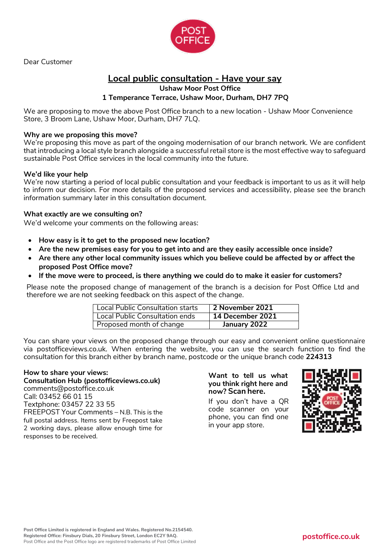

Dear Customer

# **Local public consultation - Have your say**

**Ushaw Moor Post Office** 

# **1 Temperance Terrace, Ushaw Moor, Durham, DH7 7PQ**

We are proposing to move the above Post Office branch to a new location - Ushaw Moor Convenience Store, 3 Broom Lane, Ushaw Moor, Durham, DH7 7LQ.

#### **Why are we proposing this move?**

We're proposing this move as part of the ongoing modernisation of our branch network. We are confident that introducing a local style branch alongside a successful retail store is the most effective way to safeguard sustainable Post Office services in the local community into the future.

#### **We'd like your help**

We're now starting a period of local public consultation and your feedback is important to us as it will help to inform our decision. For more details of the proposed services and accessibility, please see the branch information summary later in this consultation document.

#### **What exactly are we consulting on?**

We'd welcome your comments on the following areas:

- • **How easy is it to get to the proposed new location?**
- • **Are the new premises easy for you to get into and are they easily accessible once inside?**
- • **Are there any other local community issues which you believe could be affected by or affect the proposed Post Office move?**
- • **If the move were to proceed, is there anything we could do to make it easier for customers?**

Please note the proposed change of management of the branch is a decision for Post Office Ltd and therefore we are not seeking feedback on this aspect of the change.

| Local Public Consultation starts | 2 November 2021  |
|----------------------------------|------------------|
| Local Public Consultation ends   | 14 December 2021 |
| Proposed month of change         | January 2022     |

You can share your views on the proposed change through our easy and convenient online questionnaire via postofficeviews.co.uk. When entering the website, you can use the search function to find the consultation for this branch either by branch name, postcode or the unique branch code **224313**

#### **How to share your views:**

**Consultation Hub (postofficeviews.co.uk)** comments@postoffice.co.uk Call: 03452 66 01 15 Textphone: 03457 22 33 55 FREEPOST Your Comments – N.B. This is the full postal address. Items sent by Freepost take 2 working days, please allow enough time for responses to be received.

#### **Want to tell us what you think right here and now? Scan here.**

If you don't have a QR code scanner on your phone, you can find one in your app store.

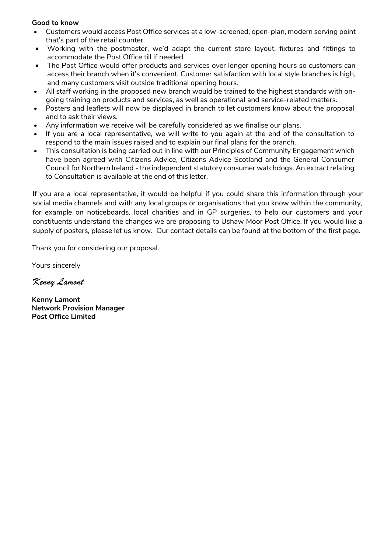### **Good to know**

- Customers would access Post Office services at a low-screened, open-plan, modern serving point that's part of the retail counter.
- Working with the postmaster, we'd adapt the current store layout, fixtures and fittings to accommodate the Post Office till if needed.
- The Post Office would offer products and services over longer opening hours so customers can access their branch when it's convenient. Customer satisfaction with local style branches is high, and many customers visit outside traditional opening hours.
- All staff working in the proposed new branch would be trained to the highest standards with ongoing training on products and services, as well as operational and service-related matters.
- Posters and leaflets will now be displayed in branch to let customers know about the proposal and to ask their views.
- Any information we receive will be carefully considered as we finalise our plans.
- If you are a local representative, we will write to you again at the end of the consultation to respond to the main issues raised and to explain our final plans for the branch.
- This consultation is being carried out in line with our Principles of Community Engagement which have been agreed with Citizens Advice, Citizens Advice Scotland and the General Consumer Council for Northern Ireland - the independent statutory consumer watchdogs. An extract relating to Consultation is available at the end of this letter.

If you are a local representative, it would be helpful if you could share this information through your social media channels and with any local groups or organisations that you know within the community, for example on noticeboards, local charities and in GP surgeries, to help our customers and your constituents understand the changes we are proposing to Ushaw Moor Post Office. If you would like a supply of posters, please let us know. Our contact details can be found at the bottom of the first page.

Thank you for considering our proposal.

Yours sincerely

*Kenny Lamont*

**Kenny Lamont Network Provision Manager Post Office Limited**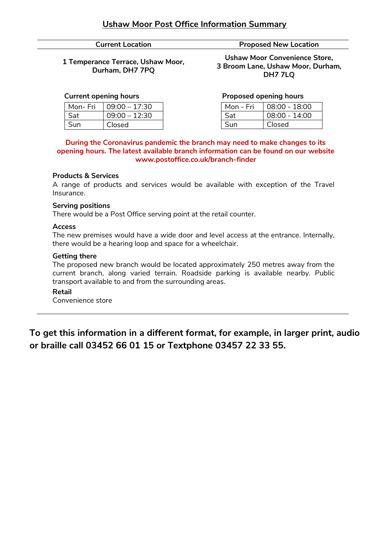**1 Temperance Terrace, Ushaw Moor, Durham, DH7 7PQ**

#### **Current opening hours**

| Mon-Fri | $09:00 - 17:30$ |
|---------|-----------------|
| Sat     | $09:00 - 12:30$ |
| Sun     | Closed          |

**Current Location Current Location** 

**Ushaw Moor Convenience Store, 3 Broom Lane, Ushaw Moor, Durham, DH7 7LQ**

#### **Proposed opening hours**

| Mon - Fri | 08:00 - 18:00   |
|-----------|-----------------|
| Sat       | $08:00 - 14:00$ |
| Sun       | Closed          |

#### **During the Coronavirus pandemic the branch may need to make changes to its opening hours. The latest available branch information can be found on our website www.postoffice.co.uk/branch-finder**

#### **Products & Services**

A range of products and services would be available with exception of the Travel Insurance.

#### **Serving positions**

There would be a Post Office serving point at the retail counter.

#### **Access**

The new premises would have a wide door and level access at the entrance. Internally, there would be a hearing loop and space for a wheelchair.

#### **Getting there**

The proposed new branch would be located approximately 250 metres away from the current branch, along varied terrain. Roadside parking is available nearby. Public transport available to and from the surrounding areas.

#### **Retail**

Convenience store

**To get this information in a different format, for example, in larger print, audio or braille call 03452 66 01 15 or Textphone 03457 22 33 55.**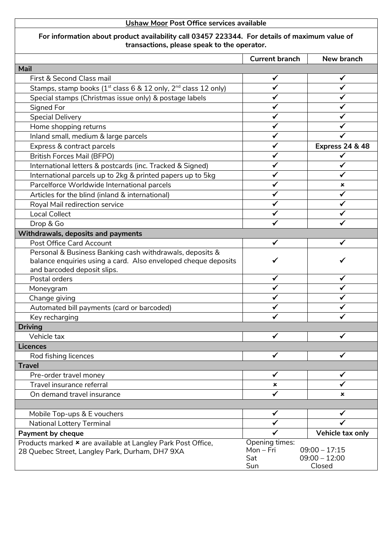# **For information about product availability call 03457 223344. For details of maximum value of transactions, please speak to the operator.**

|                                                                                        | <b>Current branch</b> | New branch                 |
|----------------------------------------------------------------------------------------|-----------------------|----------------------------|
| Mail                                                                                   |                       |                            |
| First & Second Class mail                                                              |                       |                            |
| Stamps, stamp books (1 <sup>st</sup> class 6 & 12 only, 2 <sup>nd</sup> class 12 only) |                       |                            |
| Special stamps (Christmas issue only) & postage labels                                 |                       |                            |
| Signed For                                                                             |                       |                            |
| <b>Special Delivery</b>                                                                |                       |                            |
| Home shopping returns                                                                  |                       |                            |
| Inland small, medium & large parcels                                                   |                       |                            |
| Express & contract parcels                                                             |                       | <b>Express 24 &amp; 48</b> |
| <b>British Forces Mail (BFPO)</b>                                                      |                       |                            |
| International letters & postcards (inc. Tracked & Signed)                              |                       |                            |
| International parcels up to 2kg & printed papers up to 5kg                             |                       |                            |
| Parcelforce Worldwide International parcels                                            |                       | ×                          |
| Articles for the blind (inland & international)                                        |                       |                            |
| Royal Mail redirection service                                                         |                       |                            |
| <b>Local Collect</b>                                                                   |                       |                            |
| Drop & Go                                                                              |                       |                            |
| Withdrawals, deposits and payments                                                     |                       |                            |
| <b>Post Office Card Account</b>                                                        | ✓                     | ✓                          |
| Personal & Business Banking cash withdrawals, deposits &                               |                       |                            |
| balance enquiries using a card. Also enveloped cheque deposits                         |                       | ✔                          |
| and barcoded deposit slips.                                                            |                       |                            |
| Postal orders                                                                          |                       |                            |
| Moneygram                                                                              |                       |                            |
| Change giving                                                                          |                       |                            |
| Automated bill payments (card or barcoded)                                             |                       |                            |
| Key recharging                                                                         |                       |                            |
| <b>Driving</b>                                                                         |                       |                            |
| Vehicle tax                                                                            | ✔                     |                            |
| <b>Licences</b>                                                                        |                       |                            |
| Rod fishing licences                                                                   | ✓                     |                            |
| <b>Travel</b>                                                                          |                       |                            |
| Pre-order travel money                                                                 | $\checkmark$          | $\checkmark$               |
| Travel insurance referral                                                              | ×                     |                            |
| On demand travel insurance                                                             | ✓                     | ×                          |
|                                                                                        |                       |                            |
| Mobile Top-ups & E vouchers                                                            |                       |                            |
| National Lottery Terminal                                                              |                       |                            |
| <b>Payment by cheque</b>                                                               |                       | Vehicle tax only           |
| Products marked * are available at Langley Park Post Office,                           | Opening times:        | $09:00 - 17:15$            |
| 28 Quebec Street, Langley Park, Durham, DH7 9XA                                        | Mon-Fri<br>Sat        | $09:00 - 12:00$            |
|                                                                                        | Sun                   | Closed                     |